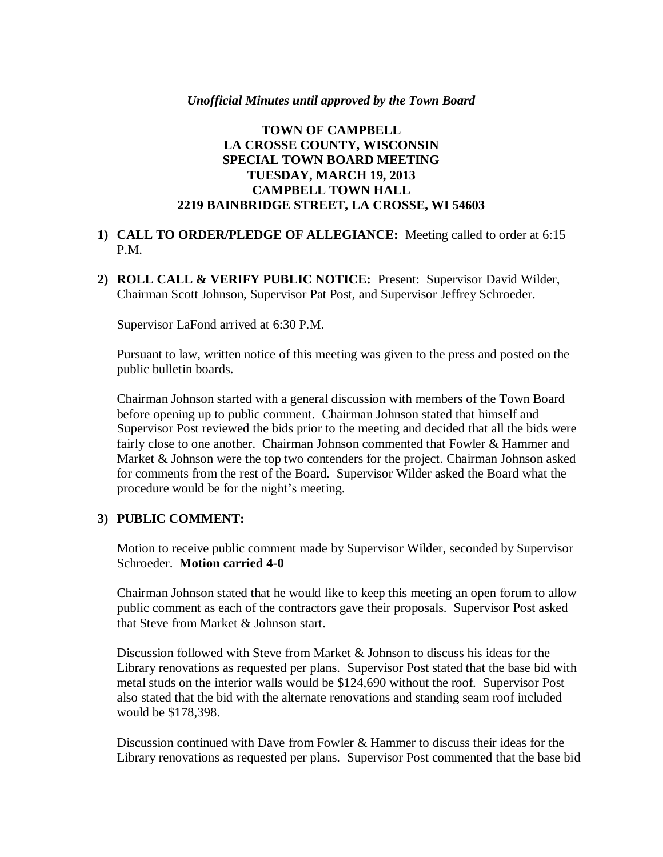#### *Unofficial Minutes until approved by the Town Board*

## **TOWN OF CAMPBELL LA CROSSE COUNTY, WISCONSIN SPECIAL TOWN BOARD MEETING TUESDAY, MARCH 19, 2013 CAMPBELL TOWN HALL 2219 BAINBRIDGE STREET, LA CROSSE, WI 54603**

## **1) CALL TO ORDER/PLEDGE OF ALLEGIANCE:** Meeting called to order at 6:15 P.M.

**2) ROLL CALL & VERIFY PUBLIC NOTICE:** Present: Supervisor David Wilder, Chairman Scott Johnson, Supervisor Pat Post, and Supervisor Jeffrey Schroeder.

Supervisor LaFond arrived at 6:30 P.M.

Pursuant to law, written notice of this meeting was given to the press and posted on the public bulletin boards.

Chairman Johnson started with a general discussion with members of the Town Board before opening up to public comment. Chairman Johnson stated that himself and Supervisor Post reviewed the bids prior to the meeting and decided that all the bids were fairly close to one another. Chairman Johnson commented that Fowler & Hammer and Market & Johnson were the top two contenders for the project. Chairman Johnson asked for comments from the rest of the Board. Supervisor Wilder asked the Board what the procedure would be for the night's meeting.

### **3) PUBLIC COMMENT:**

Motion to receive public comment made by Supervisor Wilder, seconded by Supervisor Schroeder. **Motion carried 4-0**

Chairman Johnson stated that he would like to keep this meeting an open forum to allow public comment as each of the contractors gave their proposals. Supervisor Post asked that Steve from Market & Johnson start.

Discussion followed with Steve from Market & Johnson to discuss his ideas for the Library renovations as requested per plans. Supervisor Post stated that the base bid with metal studs on the interior walls would be \$124,690 without the roof. Supervisor Post also stated that the bid with the alternate renovations and standing seam roof included would be \$178,398.

Discussion continued with Dave from Fowler & Hammer to discuss their ideas for the Library renovations as requested per plans. Supervisor Post commented that the base bid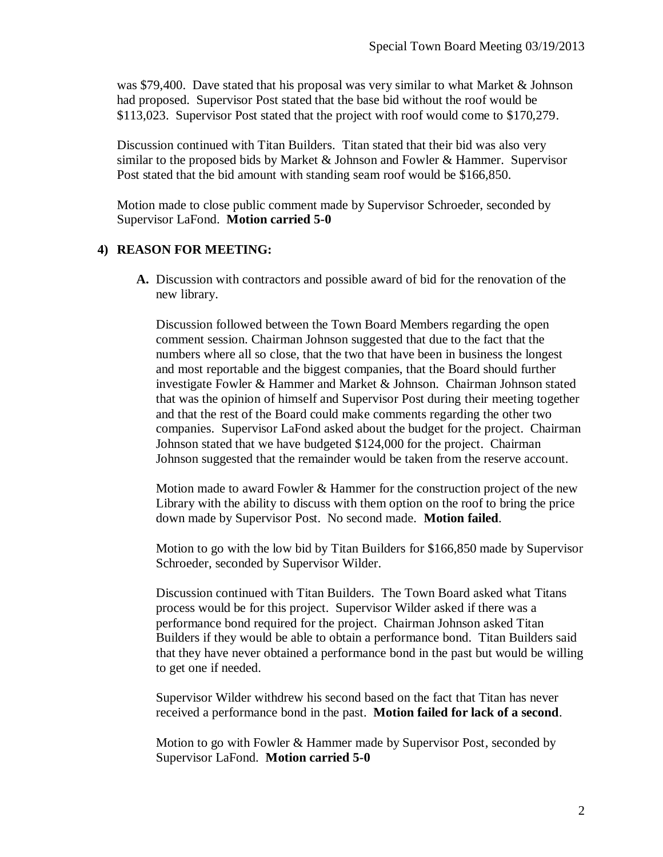was \$79,400. Dave stated that his proposal was very similar to what Market & Johnson had proposed. Supervisor Post stated that the base bid without the roof would be \$113,023. Supervisor Post stated that the project with roof would come to \$170,279.

Discussion continued with Titan Builders. Titan stated that their bid was also very similar to the proposed bids by Market & Johnson and Fowler & Hammer. Supervisor Post stated that the bid amount with standing seam roof would be \$166,850.

Motion made to close public comment made by Supervisor Schroeder, seconded by Supervisor LaFond. **Motion carried 5-0**

## **4) REASON FOR MEETING:**

**A.** Discussion with contractors and possible award of bid for the renovation of the new library.

Discussion followed between the Town Board Members regarding the open comment session. Chairman Johnson suggested that due to the fact that the numbers where all so close, that the two that have been in business the longest and most reportable and the biggest companies, that the Board should further investigate Fowler & Hammer and Market & Johnson. Chairman Johnson stated that was the opinion of himself and Supervisor Post during their meeting together and that the rest of the Board could make comments regarding the other two companies. Supervisor LaFond asked about the budget for the project. Chairman Johnson stated that we have budgeted \$124,000 for the project. Chairman Johnson suggested that the remainder would be taken from the reserve account.

Motion made to award Fowler & Hammer for the construction project of the new Library with the ability to discuss with them option on the roof to bring the price down made by Supervisor Post. No second made. **Motion failed**.

Motion to go with the low bid by Titan Builders for \$166,850 made by Supervisor Schroeder, seconded by Supervisor Wilder.

Discussion continued with Titan Builders. The Town Board asked what Titans process would be for this project. Supervisor Wilder asked if there was a performance bond required for the project. Chairman Johnson asked Titan Builders if they would be able to obtain a performance bond. Titan Builders said that they have never obtained a performance bond in the past but would be willing to get one if needed.

Supervisor Wilder withdrew his second based on the fact that Titan has never received a performance bond in the past. **Motion failed for lack of a second**.

Motion to go with Fowler & Hammer made by Supervisor Post, seconded by Supervisor LaFond. **Motion carried 5-0**